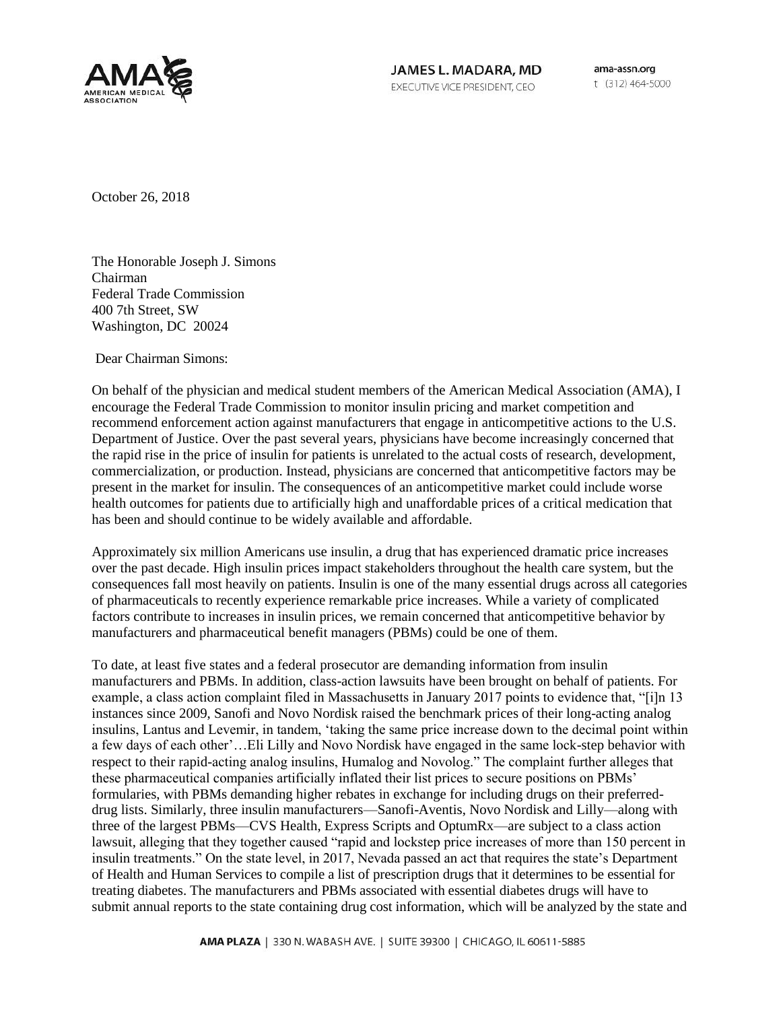

JAMES L. MADARA, MD EXECUTIVE VICE PRESIDENT, CEO

ama-assn.org t (312) 464-5000

October 26, 2018

The Honorable Joseph J. Simons Chairman Federal Trade Commission 400 7th Street, SW Washington, DC 20024

Dear Chairman Simons:

On behalf of the physician and medical student members of the American Medical Association (AMA), I encourage the Federal Trade Commission to monitor insulin pricing and market competition and recommend enforcement action against manufacturers that engage in anticompetitive actions to the U.S. Department of Justice. Over the past several years, physicians have become increasingly concerned that the rapid rise in the price of insulin for patients is unrelated to the actual costs of research, development, commercialization, or production. Instead, physicians are concerned that anticompetitive factors may be present in the market for insulin. The consequences of an anticompetitive market could include worse health outcomes for patients due to artificially high and unaffordable prices of a critical medication that has been and should continue to be widely available and affordable.

Approximately six million Americans use insulin, a drug that has experienced dramatic price increases over the past decade. High insulin prices impact stakeholders throughout the health care system, but the consequences fall most heavily on patients. Insulin is one of the many essential drugs across all categories of pharmaceuticals to recently experience remarkable price increases. While a variety of complicated factors contribute to increases in insulin prices, we remain concerned that anticompetitive behavior by manufacturers and pharmaceutical benefit managers (PBMs) could be one of them.

To date, at least five states and a federal prosecutor are demanding information from insulin manufacturers and PBMs. In addition, class-action lawsuits have been brought on behalf of patients. For example, a class action complaint filed in Massachusetts in January 2017 points to evidence that, "[i]n 13 instances since 2009, Sanofi and Novo Nordisk raised the benchmark prices of their long-acting analog insulins, Lantus and Levemir, in tandem, 'taking the same price increase down to the decimal point within a few days of each other'…Eli Lilly and Novo Nordisk have engaged in the same lock-step behavior with respect to their rapid-acting analog insulins, Humalog and Novolog." The complaint further alleges that these pharmaceutical companies artificially inflated their list prices to secure positions on PBMs' formularies, with PBMs demanding higher rebates in exchange for including drugs on their preferreddrug lists. Similarly, three insulin manufacturers—Sanofi-Aventis, Novo Nordisk and Lilly—along with three of the largest PBMs—CVS Health, Express Scripts and OptumRx—are subject to a class action lawsuit, alleging that they together caused "rapid and lockstep price increases of more than 150 percent in insulin treatments." On the state level, in 2017, Nevada passed an act that requires the state's Department of Health and Human Services to compile a list of prescription drugs that it determines to be essential for treating diabetes. The manufacturers and PBMs associated with essential diabetes drugs will have to submit annual reports to the state containing drug cost information, which will be analyzed by the state and